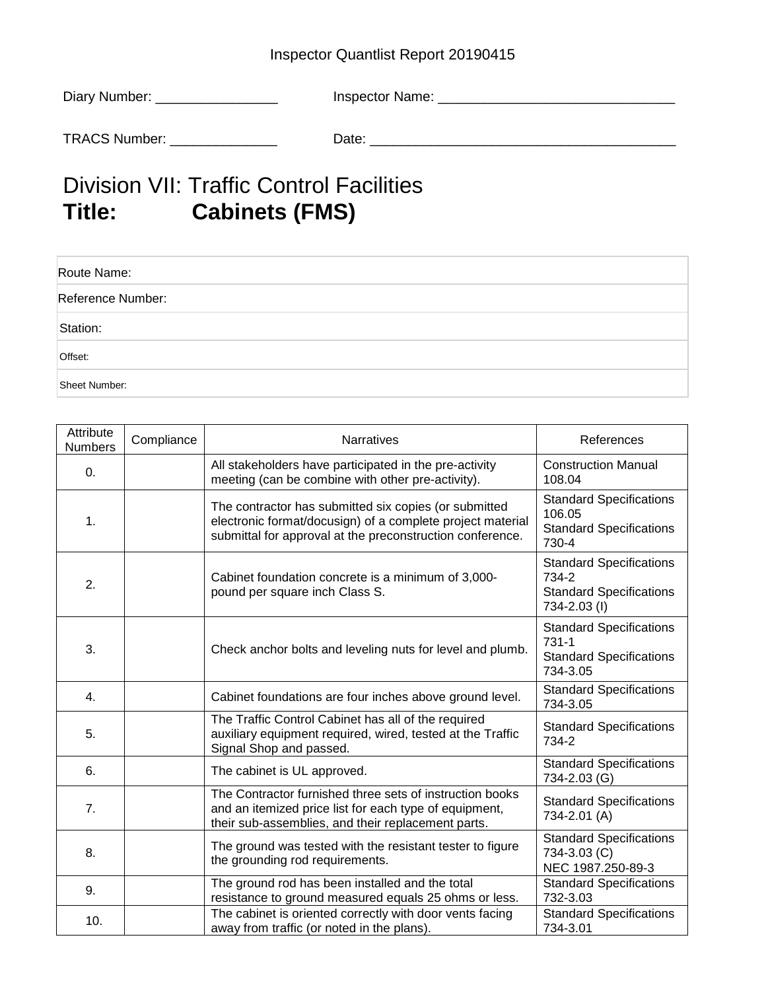## Inspector Quantlist Report 20190415

| Diary Number: | Inspector Name: |
|---------------|-----------------|
| TRACS Number: | Date:           |

## Division VII: Traffic Control Facilities<br>
Title: Cabinets (FMS) **Cabinets (FMS)**

| Route Name:       |  |
|-------------------|--|
| Reference Number: |  |
| Station:          |  |
| Offset:           |  |
| Sheet Number:     |  |

| Attribute<br><b>Numbers</b> | Compliance | Narratives                                                                                                                                                                       | References                                                                                |
|-----------------------------|------------|----------------------------------------------------------------------------------------------------------------------------------------------------------------------------------|-------------------------------------------------------------------------------------------|
| 0.                          |            | All stakeholders have participated in the pre-activity<br>meeting (can be combine with other pre-activity).                                                                      | <b>Construction Manual</b><br>108.04                                                      |
| 1.                          |            | The contractor has submitted six copies (or submitted<br>electronic format/docusign) of a complete project material<br>submittal for approval at the preconstruction conference. | <b>Standard Specifications</b><br>106.05<br><b>Standard Specifications</b><br>730-4       |
| 2.                          |            | Cabinet foundation concrete is a minimum of 3,000-<br>pound per square inch Class S.                                                                                             | <b>Standard Specifications</b><br>734-2<br><b>Standard Specifications</b><br>734-2.03 (I) |
| 3.                          |            | Check anchor bolts and leveling nuts for level and plumb.                                                                                                                        | <b>Standard Specifications</b><br>731-1<br><b>Standard Specifications</b><br>734-3.05     |
| 4.                          |            | Cabinet foundations are four inches above ground level.                                                                                                                          | <b>Standard Specifications</b><br>734-3.05                                                |
| 5.                          |            | The Traffic Control Cabinet has all of the required<br>auxiliary equipment required, wired, tested at the Traffic<br>Signal Shop and passed.                                     | <b>Standard Specifications</b><br>734-2                                                   |
| 6.                          |            | The cabinet is UL approved.                                                                                                                                                      | <b>Standard Specifications</b><br>734-2.03 (G)                                            |
| 7.                          |            | The Contractor furnished three sets of instruction books<br>and an itemized price list for each type of equipment,<br>their sub-assemblies, and their replacement parts.         | <b>Standard Specifications</b><br>734-2.01 (A)                                            |
| 8.                          |            | The ground was tested with the resistant tester to figure<br>the grounding rod requirements.                                                                                     | <b>Standard Specifications</b><br>734-3.03 (C)<br>NEC 1987.250-89-3                       |
| 9.                          |            | The ground rod has been installed and the total<br>resistance to ground measured equals 25 ohms or less.                                                                         | <b>Standard Specifications</b><br>732-3.03                                                |
| 10.                         |            | The cabinet is oriented correctly with door vents facing<br>away from traffic (or noted in the plans).                                                                           | <b>Standard Specifications</b><br>734-3.01                                                |